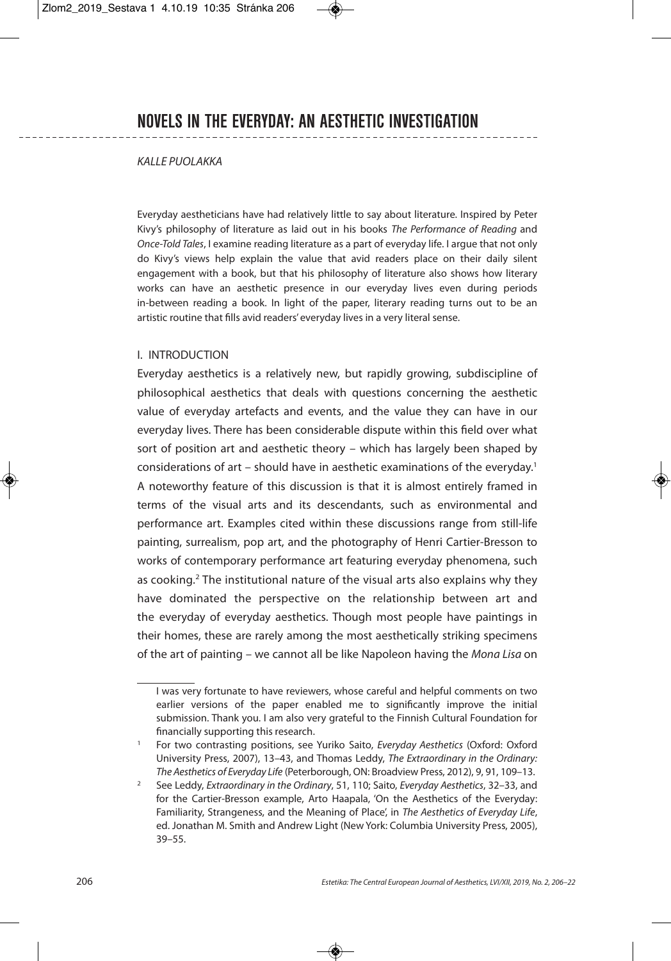#### KALLE PUOLAKKA

Everyday aestheticians have had relatively little to say about literature. Inspired by Peter Kivy's philosophy of literature as laid out in his books The Performance of Reading and Once-Told Tales, I examine reading literature as a part of everyday life. I argue that not only do Kivy's views help explain the value that avid readers place on their daily silent engagement with a book, but that his philosophy of literature also shows how literary works can have an aesthetic presence in our everyday lives even during periods in-between reading a book. In light of the paper, literary reading turns out to be an artistic routine that fills avid readers' everyday lives in a very literal sense.

#### I. INTRODUCTION

Everyday aesthetics is a relatively new, but rapidly growing, subdiscipline of philosophical aesthetics that deals with questions concerning the aesthetic value of everyday artefacts and events, and the value they can have in our everyday lives. There has been considerable dispute within this field over what sort of position art and aesthetic theory – which has largely been shaped by considerations of art – should have in aesthetic examinations of the everyday. 1 A noteworthy feature of this discussion is that it is almost entirely framed in terms of the visual arts and its descendants, such as environmental and performance art. Examples cited within these discussions range from still-life painting, surrealism, pop art, and the photography of Henri Cartier-Bresson to works of contemporary performance art featuring everyday phenomena, such as cooking. <sup>2</sup> The institutional nature of the visual arts also explains why they have dominated the perspective on the relationship between art and the everyday of everyday aesthetics. Though most people have paintings in their homes, these are rarely among the most aesthetically striking specimens of the art of painting – we cannot all be like Napoleon having the Mona Lisa on

I was very fortunate to have reviewers, whose careful and helpful comments on two earlier versions of the paper enabled me to significantly improve the initial submission. Thank you. I am also very grateful to the Finnish Cultural Foundation for financially supporting this research.

<sup>1</sup> For two contrasting positions, see Yuriko Saito, Everyday Aesthetics (Oxford: Oxford University Press, 2007), 13–43, and Thomas Leddy, The Extraordinary in the Ordinary: The Aesthetics of Everyday Life (Peterborough, ON: Broadview Press, 2012), 9, 91, 109–13.

<sup>&</sup>lt;sup>2</sup> See Leddy, Extraordinary in the Ordinary, 51, 110; Saito, Everyday Aesthetics, 32–33, and for the Cartier-Bresson example, Arto Haapala, 'On the Aesthetics of the Everyday: Familiarity, Strangeness, and the Meaning of Place', in The Aesthetics of Everyday Life, ed. Jonathan M. Smith and Andrew Light (New York: Columbia University Press, 2005), 39–55.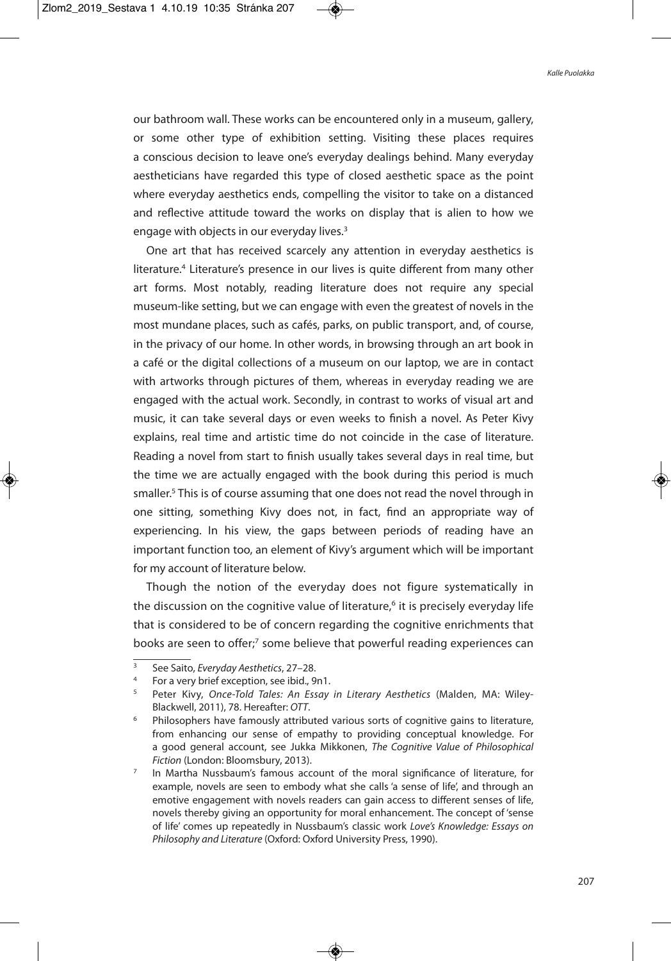our bathroom wall. These works can be encountered only in a museum, gallery, or some other type of exhibition setting. Visiting these places requires a conscious decision to leave one's everyday dealings behind. Many everyday aestheticians have regarded this type of closed aesthetic space as the point where everyday aesthetics ends, compelling the visitor to take on a distanced and reflective attitude toward the works on display that is alien to how we engage with objects in our everyday lives.<sup>3</sup>

One art that has received scarcely any attention in everyday aesthetics is literature.<sup>4</sup> Literature's presence in our lives is quite different from many other art forms. Most notably, reading literature does not require any special museum-like setting, but we can engage with even the greatest of novels in the most mundane places, such as cafés, parks, on public transport, and, of course, in the privacy of our home. In other words, in browsing through an art book in a café or the digital collections of a museum on our laptop, we are in contact with artworks through pictures of them, whereas in everyday reading we are engaged with the actual work. Secondly, in contrast to works of visual art and music, it can take several days or even weeks to finish a novel. As Peter Kivy explains, real time and artistic time do not coincide in the case of literature. Reading a novel from start to finish usually takes several days in real time, but the time we are actually engaged with the book during this period is much smaller. <sup>5</sup> This is of course assuming that one does not read the novel through in one sitting, something Kivy does not, in fact, find an appropriate way of experiencing. In his view, the gaps between periods of reading have an important function too, an element of Kivy's argument which will be important for my account of literature below.

Though the notion of the everyday does not figure systematically in the discussion on the cognitive value of literature,<sup>6</sup> it is precisely everyday life that is considered to be of concern regarding the cognitive enrichments that books are seen to offer;<sup>7</sup> some believe that powerful reading experiences can

See Saito, Everyday Aesthetics, 27-28.

<sup>4</sup> For a very brief exception, see ibid., 9n1.

Peter Kivy, Once-Told Tales: An Essay in Literary Aesthetics (Malden, MA: Wiley-Blackwell, 2011), 78. Hereafter: OTT.

<sup>6</sup> Philosophers have famously attributed various sorts of cognitive gains to literature, from enhancing our sense of empathy to providing conceptual knowledge. For a good general account, see Jukka Mikkonen, The Cognitive Value of Philosophical Fiction (London: Bloomsbury, 2013).

 $7$  In Martha Nussbaum's famous account of the moral significance of literature, for example, novels are seen to embody what she calls 'a sense of life', and through an emotive engagement with novels readers can gain access to different senses of life, novels thereby giving an opportunity for moral enhancement. The concept of 'sense of life' comes up repeatedly in Nussbaum's classic work Love's Knowledge: Essays on Philosophy and Literature (Oxford: Oxford University Press, 1990).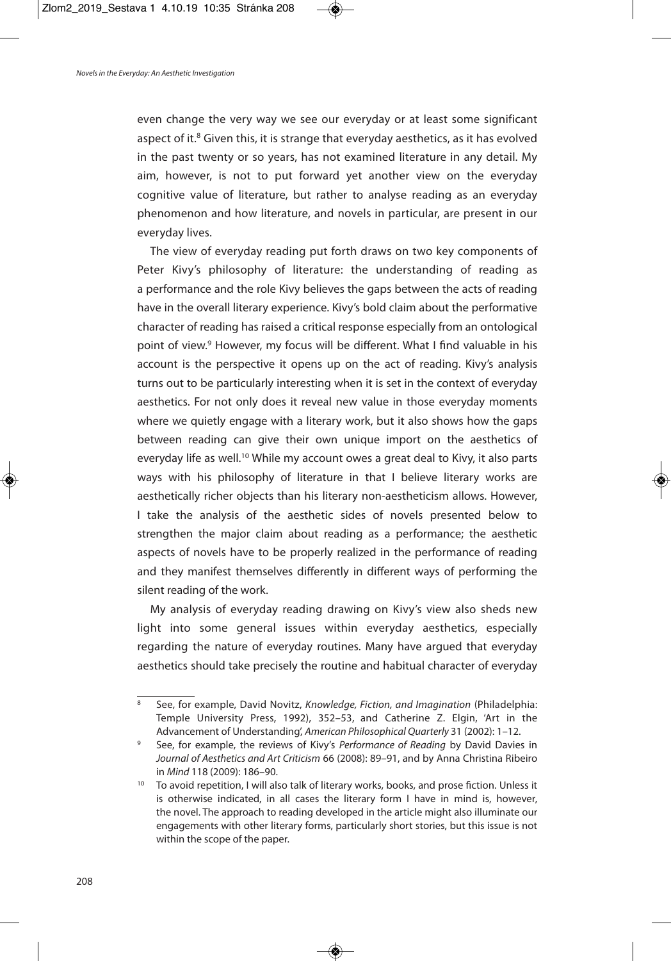even change the very way we see our everyday or at least some significant aspect of it.<sup>8</sup> Given this, it is strange that everyday aesthetics, as it has evolved in the past twenty or so years, has not examined literature in any detail. My aim, however, is not to put forward yet another view on the everyday cognitive value of literature, but rather to analyse reading as an everyday phenomenon and how literature, and novels in particular, are present in our everyday lives.

The view of everyday reading put forth draws on two key components of Peter Kivy's philosophy of literature: the understanding of reading as a performance and the role Kivy believes the gaps between the acts of reading have in the overall literary experience. Kivy's bold claim about the performative character of reading has raised a critical response especially from an ontological point of view. <sup>9</sup> However, my focus will be different. What I find valuable in his account is the perspective it opens up on the act of reading. Kivy's analysis turns out to be particularly interesting when it is set in the context of everyday aesthetics. For not only does it reveal new value in those everyday moments where we quietly engage with a literary work, but it also shows how the gaps between reading can give their own unique import on the aesthetics of everyday life as well.<sup>10</sup> While my account owes a great deal to Kivy, it also parts ways with his philosophy of literature in that I believe literary works are aesthetically richer objects than his literary non-aestheticism allows. However, I take the analysis of the aesthetic sides of novels presented below to strengthen the major claim about reading as a performance; the aesthetic aspects of novels have to be properly realized in the performance of reading and they manifest themselves differently in different ways of performing the silent reading of the work.

My analysis of everyday reading drawing on Kivy's view also sheds new light into some general issues within everyday aesthetics, especially regarding the nature of everyday routines. Many have argued that everyday aesthetics should take precisely the routine and habitual character of everyday

<sup>8</sup> See, for example, David Novitz, Knowledge, Fiction, and Imagination (Philadelphia: Temple University Press, 1992), 352–53, and Catherine Z. Elgin, 'Art in the Advancement of Understanding', American Philosophical Quarterly 31 (2002): 1–12.

See, for example, the reviews of Kivy's Performance of Reading by David Davies in Journal of Aesthetics and Art Criticism 66 (2008): 89–91, and by Anna Christina Ribeiro in Mind 118 (2009): 186–90.

<sup>&</sup>lt;sup>10</sup> To avoid repetition, I will also talk of literary works, books, and prose fiction. Unless it is otherwise indicated, in all cases the literary form I have in mind is, however, the novel. The approach to reading developed in the article might also illuminate our engagements with other literary forms, particularly short stories, but this issue is not within the scope of the paper.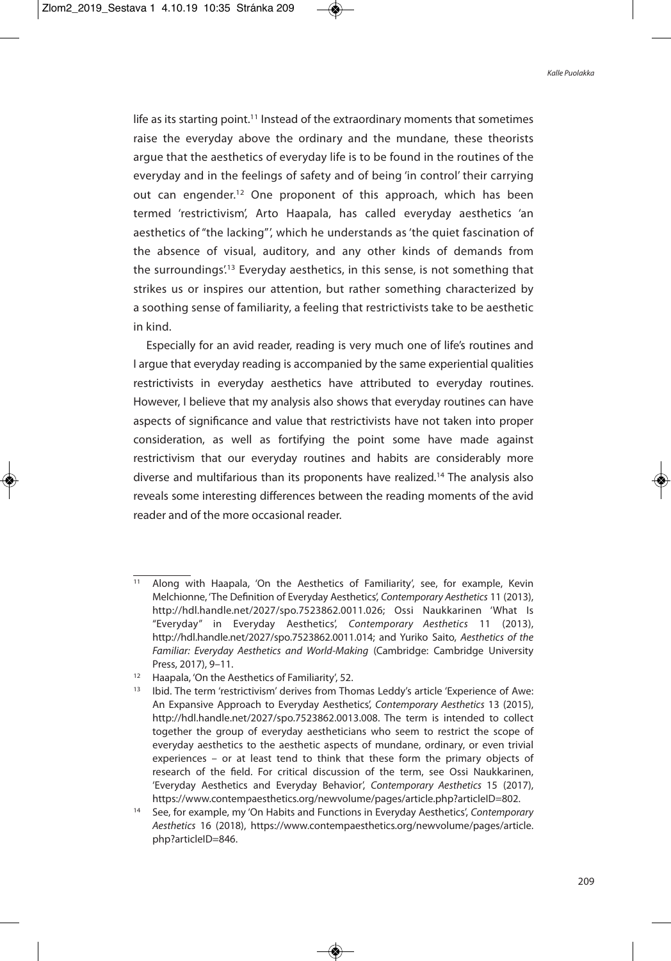life as its starting point.<sup>11</sup> Instead of the extraordinary moments that sometimes raise the everyday above the ordinary and the mundane, these theorists argue that the aesthetics of everyday life is to be found in the routines of the everyday and in the feelings of safety and of being 'in control' their carrying out can engender.<sup>12</sup> One proponent of this approach, which has been termed 'restrictivism', Arto Haapala, has called everyday aesthetics 'an aesthetics of "the lacking"', which he understands as 'the quiet fascination of the absence of visual, auditory, and any other kinds of demands from the surroundings<sup>', 13</sup> Everyday aesthetics, in this sense, is not something that strikes us or inspires our attention, but rather something characterized by a soothing sense of familiarity, a feeling that restrictivists take to be aesthetic in kind.

Especially for an avid reader, reading is very much one of life's routines and I argue that everyday reading is accompanied by the same experiential qualities restrictivists in everyday aesthetics have attributed to everyday routines. However, I believe that my analysis also shows that everyday routines can have aspects of significance and value that restrictivists have not taken into proper consideration, as well as fortifying the point some have made against restrictivism that our everyday routines and habits are considerably more diverse and multifarious than its proponents have realized. <sup>14</sup> The analysis also reveals some interesting differences between the reading moments of the avid reader and of the more occasional reader.

<sup>11</sup> Along with Haapala, 'On the Aesthetics of Familiarity', see, for example, Kevin Melchionne, 'The Definition of Everyday Aesthetics', Contemporary Aesthetics 11 (2013), http://hdl.handle.net/2027/spo.7523862.0011.026; Ossi Naukkarinen 'What Is "Everyday" in Everyday Aesthetics', Contemporary Aesthetics 11 (2013), http://hdl.handle.net/2027/spo.7523862.0011.014; and Yuriko Saito, Aesthetics of the Familiar: Everyday Aesthetics and World-Making (Cambridge: Cambridge University Press, 2017), 9–11.

<sup>&</sup>lt;sup>12</sup> Haapala, 'On the Aesthetics of Familiarity', 52.

<sup>&</sup>lt;sup>13</sup> Ibid. The term 'restrictivism' derives from Thomas Leddy's article 'Experience of Awe: An Expansive Approach to Everyday Aesthetics', Contemporary Aesthetics 13 (2015), http://hdl.handle.net/2027/spo.7523862.0013.008. The term is intended to collect together the group of everyday aestheticians who seem to restrict the scope of everyday aesthetics to the aesthetic aspects of mundane, ordinary, or even trivial experiences – or at least tend to think that these form the primary objects of research of the field. For critical discussion of the term, see Ossi Naukkarinen, 'Everyday Aesthetics and Everyday Behavior', Contemporary Aesthetics 15 (2017), https://www.contempaesthetics.org/newvolume/pages/article.php?articleID=802.

<sup>&</sup>lt;sup>14</sup> See, for example, my 'On Habits and Functions in Everyday Aesthetics', Contemporary Aesthetics 16 (2018), https://www.contempaesthetics.org/newvolume/pages/article. php?articleID=846.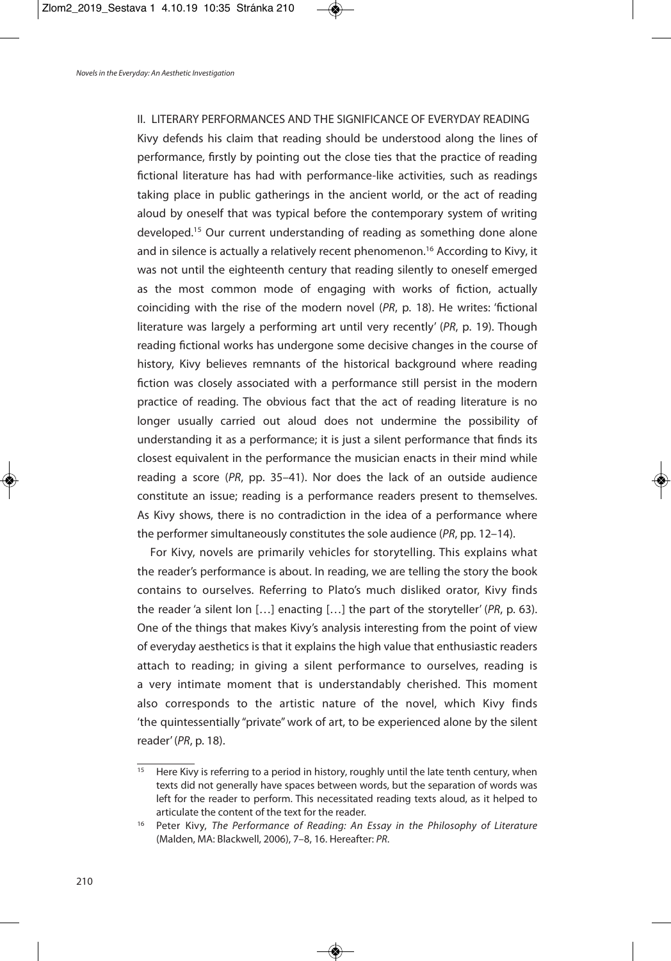II. LITERARY PERFORMANCES AND THE SIGNIFICANCE OF EVERYDAY READING Kivy defends his claim that reading should be understood along the lines of performance, firstly by pointing out the close ties that the practice of reading fictional literature has had with performance-like activities, such as readings taking place in public gatherings in the ancient world, or the act of reading aloud by oneself that was typical before the contemporary system of writing developed. <sup>15</sup> Our current understanding of reading as something done alone and in silence is actually a relatively recent phenomenon. <sup>16</sup> According to Kivy, it was not until the eighteenth century that reading silently to oneself emerged as the most common mode of engaging with works of fiction, actually coinciding with the rise of the modern novel (PR, p. 18). He writes: 'fictional literature was largely a performing art until very recently' (PR, p. 19). Though reading fictional works has undergone some decisive changes in the course of history, Kivy believes remnants of the historical background where reading fiction was closely associated with a performance still persist in the modern practice of reading. The obvious fact that the act of reading literature is no longer usually carried out aloud does not undermine the possibility of understanding it as a performance; it is just a silent performance that finds its closest equivalent in the performance the musician enacts in their mind while reading a score (PR, pp. 35–41). Nor does the lack of an outside audience constitute an issue; reading is a performance readers present to themselves. As Kivy shows, there is no contradiction in the idea of a performance where the performer simultaneously constitutes the sole audience (PR, pp. 12–14).

For Kivy, novels are primarily vehicles for storytelling. This explains what the reader's performance is about. In reading, we are telling the story the book contains to ourselves. Referring to Plato's much disliked orator, Kivy finds the reader 'a silent Ion […] enacting […] the part of the storyteller' (PR, p. 63). One of the things that makes Kivy's analysis interesting from the point of view of everyday aesthetics is that it explains the high value that enthusiastic readers attach to reading; in giving a silent performance to ourselves, reading is a very intimate moment that is understandably cherished. This moment also corresponds to the artistic nature of the novel, which Kivy finds 'the quintessentially "private" work of art, to be experienced alone by the silent reader'(PR, p. 18).

<sup>&</sup>lt;sup>15</sup> Here Kivy is referring to a period in history, roughly until the late tenth century, when texts did not generally have spaces between words, but the separation of words was left for the reader to perform. This necessitated reading texts aloud, as it helped to articulate the content of the text for the reader.

<sup>&</sup>lt;sup>16</sup> Peter Kivy, The Performance of Reading: An Essay in the Philosophy of Literature (Malden, MA: Blackwell, 2006), 7–8, 16. Hereafter: PR.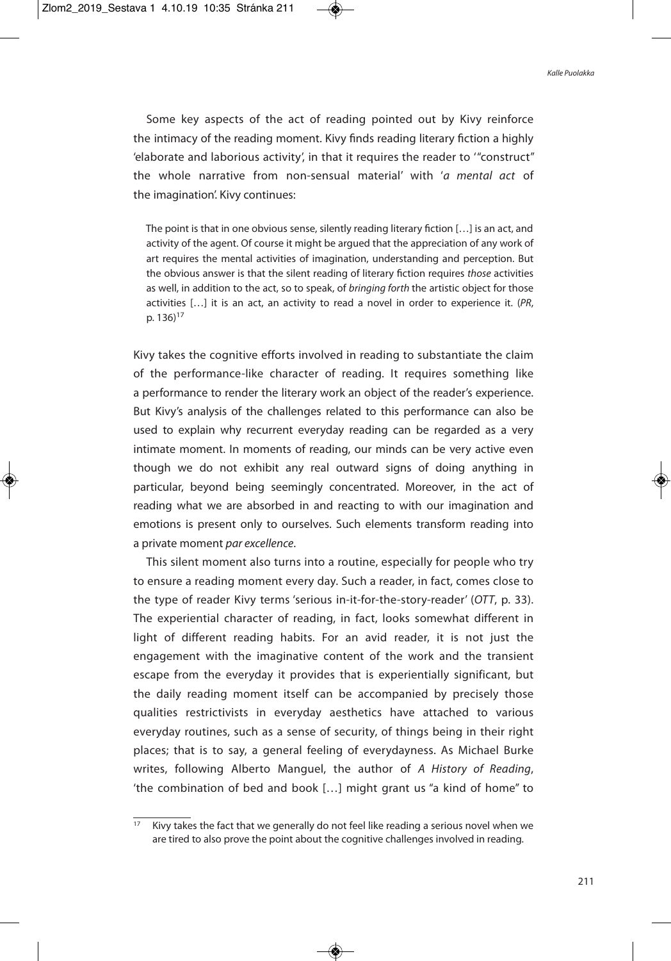Some key aspects of the act of reading pointed out by Kivy reinforce the intimacy of the reading moment. Kivy finds reading literary fiction a highly 'elaborate and laborious activity', in that it requires the reader to '"construct" the whole narrative from non-sensual material' with 'a mental act of the imagination'. Kivy continues:

The point is that in one obvious sense, silently reading literary fiction […] is an act, and activity of the agent. Of course it might be argued that the appreciation of any work of art requires the mental activities of imagination, understanding and perception. But the obvious answer is that the silent reading of literary fiction requires those activities as well, in addition to the act, so to speak, of bringing forth the artistic object for those activities […] it is an act, an activity to read a novel in order to experience it. (PR, p. 136) 17

Kivy takes the cognitive efforts involved in reading to substantiate the claim of the performance-like character of reading. It requires something like a performance to render the literary work an object of the reader's experience. But Kivy's analysis of the challenges related to this performance can also be used to explain why recurrent everyday reading can be regarded as a very intimate moment. In moments of reading, our minds can be very active even though we do not exhibit any real outward signs of doing anything in particular, beyond being seemingly concentrated. Moreover, in the act of reading what we are absorbed in and reacting to with our imagination and emotions is present only to ourselves. Such elements transform reading into a private moment par excellence.

This silent moment also turns into a routine, especially for people who try to ensure a reading moment every day. Such a reader, in fact, comes close to the type of reader Kivy terms 'serious in-it-for-the-story-reader' (OTT, p. 33). The experiential character of reading, in fact, looks somewhat different in light of different reading habits. For an avid reader, it is not just the engagement with the imaginative content of the work and the transient escape from the everyday it provides that is experientially significant, but the daily reading moment itself can be accompanied by precisely those qualities restrictivists in everyday aesthetics have attached to various everyday routines, such as a sense of security, of things being in their right places; that is to say, a general feeling of everydayness. As Michael Burke writes, following Alberto Manguel, the author of A History of Reading, 'the combination of bed and book […] might grant us "a kind of home" to

 $\frac{17}{17}$  Kivy takes the fact that we generally do not feel like reading a serious novel when we are tired to also prove the point about the cognitive challenges involved in reading.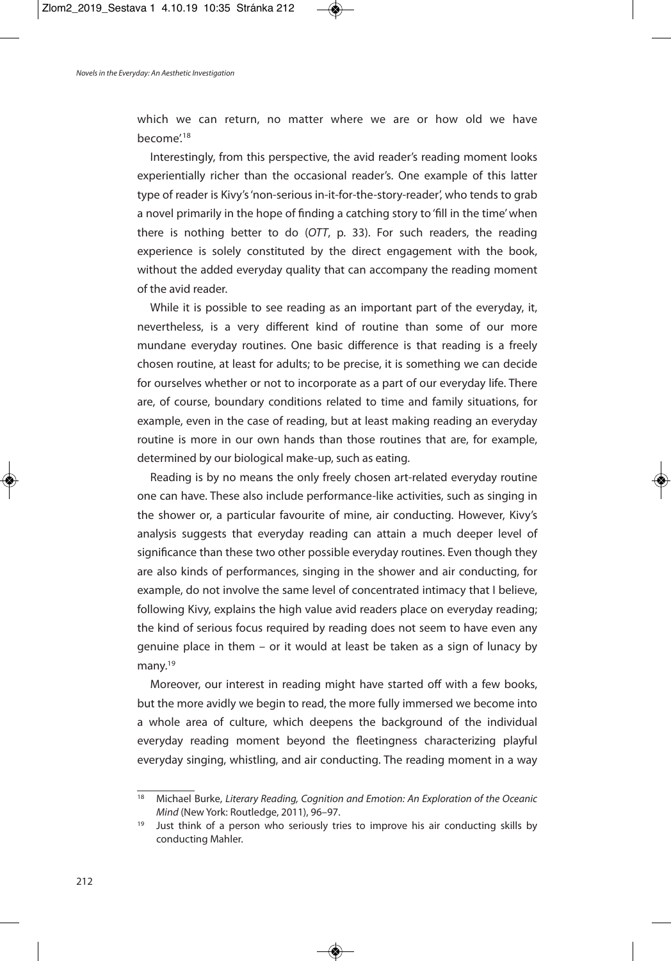which we can return, no matter where we are or how old we have become'. 18

Interestingly, from this perspective, the avid reader's reading moment looks experientially richer than the occasional reader's. One example of this latter type of reader is Kivy's'non-serious in-it-for-the-story-reader', who tends to grab a novel primarily in the hope of finding a catching story to 'fill in the time'when there is nothing better to do (OTT, p. 33). For such readers, the reading experience is solely constituted by the direct engagement with the book, without the added everyday quality that can accompany the reading moment of the avid reader.

While it is possible to see reading as an important part of the everyday, it, nevertheless, is a very different kind of routine than some of our more mundane everyday routines. One basic difference is that reading is a freely chosen routine, at least for adults; to be precise, it is something we can decide for ourselves whether or not to incorporate as a part of our everyday life. There are, of course, boundary conditions related to time and family situations, for example, even in the case of reading, but at least making reading an everyday routine is more in our own hands than those routines that are, for example, determined by our biological make-up, such as eating.

Reading is by no means the only freely chosen art-related everyday routine one can have. These also include performance-like activities, such as singing in the shower or, a particular favourite of mine, air conducting. However, Kivy's analysis suggests that everyday reading can attain a much deeper level of significance than these two other possible everyday routines. Even though they are also kinds of performances, singing in the shower and air conducting, for example, do not involve the same level of concentrated intimacy that I believe, following Kivy, explains the high value avid readers place on everyday reading; the kind of serious focus required by reading does not seem to have even any genuine place in them – or it would at least be taken as a sign of lunacy by many. 19

Moreover, our interest in reading might have started off with a few books, but the more avidly we begin to read, the more fully immersed we become into a whole area of culture, which deepens the background of the individual everyday reading moment beyond the fleetingness characterizing playful everyday singing, whistling, and air conducting. The reading moment in a way

 $18$  Michael Burke, Literary Reading, Cognition and Emotion: An Exploration of the Oceanic Mind (New York: Routledge, 2011), 96–97.

 $19$  Just think of a person who seriously tries to improve his air conducting skills by conducting Mahler.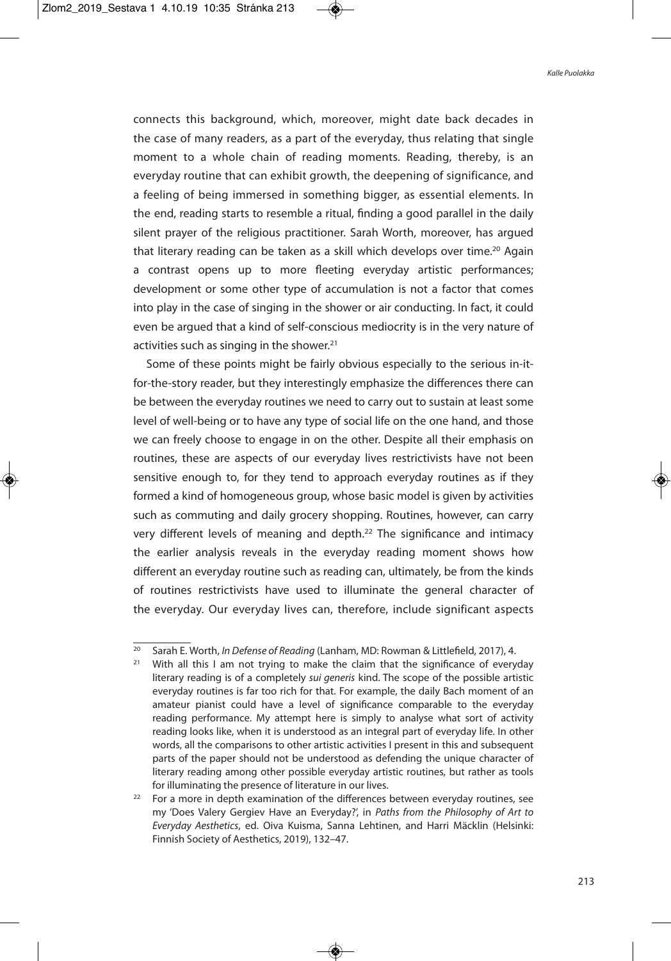connects this background, which, moreover, might date back decades in the case of many readers, as a part of the everyday, thus relating that single moment to a whole chain of reading moments. Reading, thereby, is an everyday routine that can exhibit growth, the deepening of significance, and a feeling of being immersed in something bigger, as essential elements. In the end, reading starts to resemble a ritual, finding a good parallel in the daily silent prayer of the religious practitioner. Sarah Worth, moreover, has argued that literary reading can be taken as a skill which develops over time.<sup>20</sup> Again a contrast opens up to more fleeting everyday artistic performances; development or some other type of accumulation is not a factor that comes into play in the case of singing in the shower or air conducting. In fact, it could even be argued that a kind of self-conscious mediocrity is in the very nature of activities such as singing in the shower.<sup>21</sup>

Some of these points might be fairly obvious especially to the serious in-itfor-the-story reader, but they interestingly emphasize the differences there can be between the everyday routines we need to carry out to sustain at least some level of well-being or to have any type of social life on the one hand, and those we can freely choose to engage in on the other. Despite all their emphasis on routines, these are aspects of our everyday lives restrictivists have not been sensitive enough to, for they tend to approach everyday routines as if they formed a kind of homogeneous group, whose basic model is given by activities such as commuting and daily grocery shopping. Routines, however, can carry very different levels of meaning and depth.<sup>22</sup> The significance and intimacy the earlier analysis reveals in the everyday reading moment shows how different an everyday routine such as reading can, ultimately, be from the kinds of routines restrictivists have used to illuminate the general character of the everyday. Our everyday lives can, therefore, include significant aspects

<sup>&</sup>lt;sup>20</sup> Sarah E. Worth, *In Defense of Reading* (Lanham, MD: Rowman & Littlefield, 2017), 4.

 $21$  With all this I am not trying to make the claim that the significance of everyday literary reading is of a completely sui generis kind. The scope of the possible artistic everyday routines is far too rich for that. For example, the daily Bach moment of an amateur pianist could have a level of significance comparable to the everyday reading performance. My attempt here is simply to analyse what sort of activity reading looks like, when it is understood as an integral part of everyday life. In other words, all the comparisons to other artistic activities I present in this and subsequent parts of the paper should not be understood as defending the unique character of literary reading among other possible everyday artistic routines, but rather as tools for illuminating the presence of literature in our lives.

 $22$  For a more in depth examination of the differences between everyday routines, see my 'Does Valery Gergiev Have an Everyday?', in Paths from the Philosophy of Art to Everyday Aesthetics, ed. Oiva Kuisma, Sanna Lehtinen, and Harri Mäcklin (Helsinki: Finnish Society of Aesthetics, 2019), 132–47.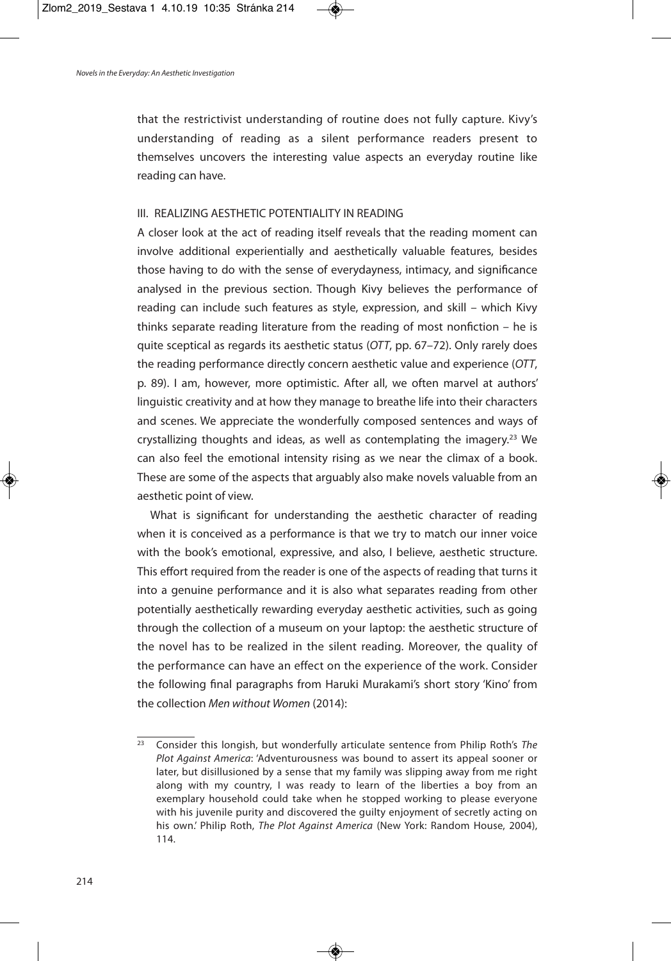that the restrictivist understanding of routine does not fully capture. Kivy's understanding of reading as a silent performance readers present to themselves uncovers the interesting value aspects an everyday routine like reading can have.

# III. REALIZING AESTHETIC POTENTIALITY IN READING

A closer look at the act of reading itself reveals that the reading moment can involve additional experientially and aesthetically valuable features, besides those having to do with the sense of everydayness, intimacy, and significance analysed in the previous section. Though Kivy believes the performance of reading can include such features as style, expression, and skill – which Kivy thinks separate reading literature from the reading of most nonfiction – he is quite sceptical as regards its aesthetic status (OTT, pp. 67–72). Only rarely does the reading performance directly concern aesthetic value and experience (OTT, p. 89). I am, however, more optimistic. After all, we often marvel at authors' linguistic creativity and at how they manage to breathe life into their characters and scenes. We appreciate the wonderfully composed sentences and ways of crystallizing thoughts and ideas, as well as contemplating the imagery.<sup>23</sup> We can also feel the emotional intensity rising as we near the climax of a book. These are some of the aspects that arguably also make novels valuable from an aesthetic point of view.

What is significant for understanding the aesthetic character of reading when it is conceived as a performance is that we try to match our inner voice with the book's emotional, expressive, and also, I believe, aesthetic structure. This effort required from the reader is one of the aspects of reading that turns it into a genuine performance and it is also what separates reading from other potentially aesthetically rewarding everyday aesthetic activities, such as going through the collection of a museum on your laptop: the aesthetic structure of the novel has to be realized in the silent reading. Moreover, the quality of the performance can have an effect on the experience of the work. Consider the following final paragraphs from Haruki Murakami's short story 'Kino' from the collection Men without Women (2014):

 $23$  Consider this longish, but wonderfully articulate sentence from Philip Roth's The Plot Against America: 'Adventurousness was bound to assert its appeal sooner or later, but disillusioned by a sense that my family was slipping away from me right along with my country, I was ready to learn of the liberties a boy from an exemplary household could take when he stopped working to please everyone with his juvenile purity and discovered the guilty enjoyment of secretly acting on his own.' Philip Roth, The Plot Against America (New York: Random House, 2004), 114.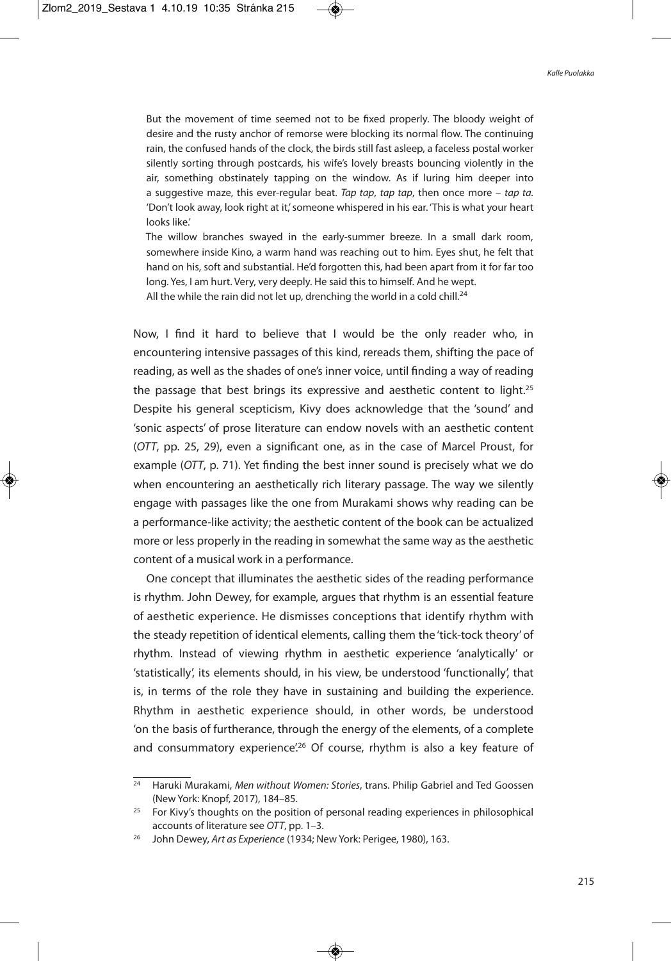But the movement of time seemed not to be fixed properly. The bloody weight of desire and the rusty anchor of remorse were blocking its normal flow. The continuing rain, the confused hands of the clock, the birds still fast asleep, a faceless postal worker silently sorting through postcards, his wife's lovely breasts bouncing violently in the air, something obstinately tapping on the window. As if luring him deeper into a suggestive maze, this ever-regular beat. Tap tap, tap tap, then once more – tap ta. 'Don't look away, look right at it,' someone whispered in his ear. 'This is what your heart looks like.'

The willow branches swayed in the early-summer breeze. In a small dark room, somewhere inside Kino, a warm hand was reaching out to him. Eyes shut, he felt that hand on his, soft and substantial. He'd forgotten this, had been apart from it for far too long. Yes, I am hurt. Very, very deeply. He said this to himself. And he wept.

All the while the rain did not let up, drenching the world in a cold chill. $^{24}$ 

Now, I find it hard to believe that I would be the only reader who, in encountering intensive passages of this kind, rereads them, shifting the pace of reading, as well as the shades of one's inner voice, until finding a way of reading the passage that best brings its expressive and aesthetic content to light.<sup>25</sup> Despite his general scepticism, Kivy does acknowledge that the 'sound' and 'sonic aspects' of prose literature can endow novels with an aesthetic content (OTT, pp. 25, 29), even a significant one, as in the case of Marcel Proust, for example (OTT, p. 71). Yet finding the best inner sound is precisely what we do when encountering an aesthetically rich literary passage. The way we silently engage with passages like the one from Murakami shows why reading can be a performance-like activity; the aesthetic content of the book can be actualized more or less properly in the reading in somewhat the same way as the aesthetic content of a musical work in a performance.

One concept that illuminates the aesthetic sides of the reading performance is rhythm. John Dewey, for example, argues that rhythm is an essential feature of aesthetic experience. He dismisses conceptions that identify rhythm with the steady repetition of identical elements, calling them the 'tick-tock theory' of rhythm. Instead of viewing rhythm in aesthetic experience 'analytically' or 'statistically', its elements should, in his view, be understood 'functionally', that is, in terms of the role they have in sustaining and building the experience. Rhythm in aesthetic experience should, in other words, be understood 'on the basis of furtherance, through the energy of the elements, of a complete and consummatory experience<sup>'26</sup> Of course, rhythm is also a key feature of

<sup>&</sup>lt;sup>24</sup> Haruki Murakami, Men without Women: Stories, trans. Philip Gabriel and Ted Goossen (New York: Knopf, 2017), 184–85.

 $25$  For Kivy's thoughts on the position of personal reading experiences in philosophical accounts of literature see OTT, pp. 1–3.

<sup>&</sup>lt;sup>26</sup> John Dewey, Art as Experience (1934; New York: Perigee, 1980), 163.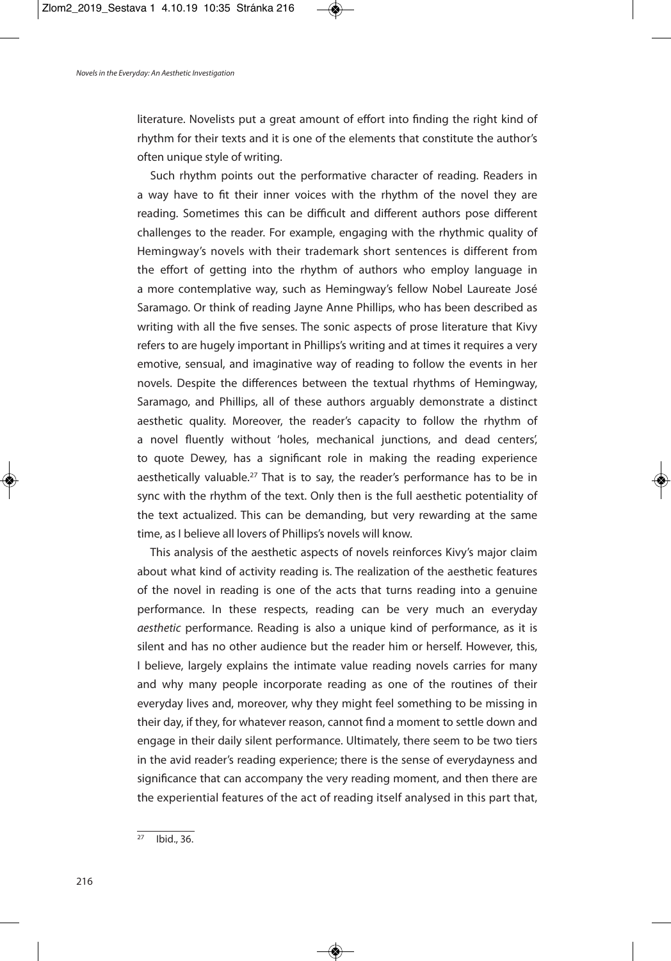literature. Novelists put a great amount of effort into finding the right kind of rhythm for their texts and it is one of the elements that constitute the author's often unique style of writing.

Such rhythm points out the performative character of reading. Readers in a way have to fit their inner voices with the rhythm of the novel they are reading. Sometimes this can be difficult and different authors pose different challenges to the reader. For example, engaging with the rhythmic quality of Hemingway's novels with their trademark short sentences is different from the effort of getting into the rhythm of authors who employ language in a more contemplative way, such as Hemingway's fellow Nobel Laureate José Saramago. Or think of reading Jayne Anne Phillips, who has been described as writing with all the five senses. The sonic aspects of prose literature that Kivy refers to are hugely important in Phillips's writing and at times it requires a very emotive, sensual, and imaginative way of reading to follow the events in her novels. Despite the differences between the textual rhythms of Hemingway, Saramago, and Phillips, all of these authors arguably demonstrate a distinct aesthetic quality. Moreover, the reader's capacity to follow the rhythm of a novel fluently without 'holes, mechanical junctions, and dead centers', to quote Dewey, has a significant role in making the reading experience aesthetically valuable.<sup>27</sup> That is to say, the reader's performance has to be in sync with the rhythm of the text. Only then is the full aesthetic potentiality of the text actualized. This can be demanding, but very rewarding at the same time, as I believe all lovers of Phillips's novels will know.

This analysis of the aesthetic aspects of novels reinforces Kivy's major claim about what kind of activity reading is. The realization of the aesthetic features of the novel in reading is one of the acts that turns reading into a genuine performance. In these respects, reading can be very much an everyday aesthetic performance. Reading is also a unique kind of performance, as it is silent and has no other audience but the reader him or herself. However, this, I believe, largely explains the intimate value reading novels carries for many and why many people incorporate reading as one of the routines of their everyday lives and, moreover, why they might feel something to be missing in their day, if they, for whatever reason, cannot find a moment to settle down and engage in their daily silent performance. Ultimately, there seem to be two tiers in the avid reader's reading experience; there is the sense of everydayness and significance that can accompany the very reading moment, and then there are the experiential features of the act of reading itself analysed in this part that,

 $27$  Ibid., 36.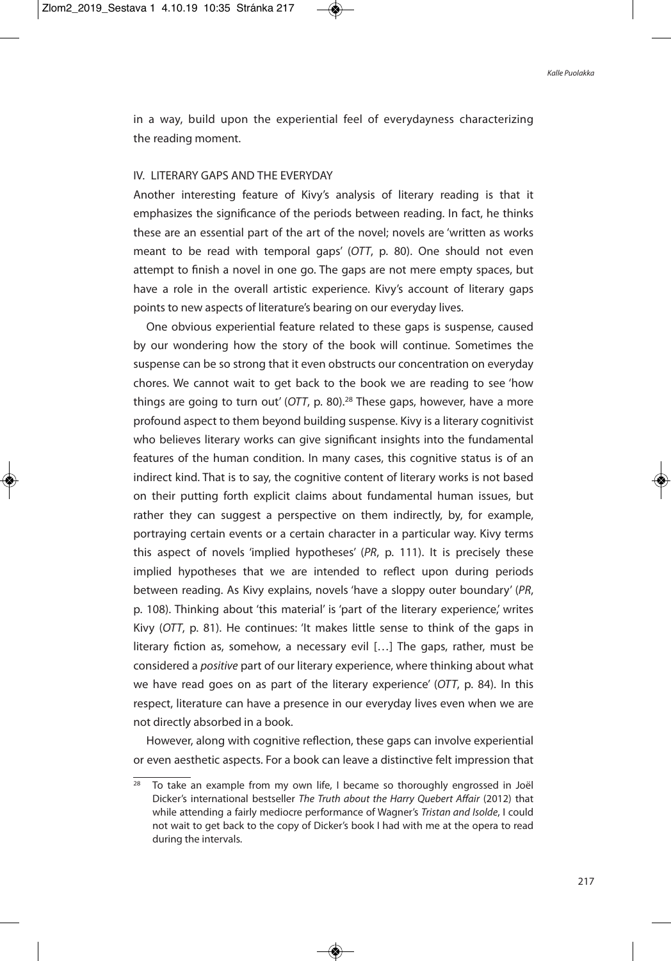in a way, build upon the experiential feel of everydayness characterizing the reading moment.

# IV. LITERARY GAPS AND THE EVERYDAY

Another interesting feature of Kivy's analysis of literary reading is that it emphasizes the significance of the periods between reading. In fact, he thinks these are an essential part of the art of the novel; novels are 'written as works meant to be read with temporal gaps' (OTT, p. 80). One should not even attempt to finish a novel in one go. The gaps are not mere empty spaces, but have a role in the overall artistic experience. Kivy's account of literary gaps points to new aspects of literature's bearing on our everyday lives.

One obvious experiential feature related to these gaps is suspense, caused by our wondering how the story of the book will continue. Sometimes the suspense can be so strong that it even obstructs our concentration on everyday chores. We cannot wait to get back to the book we are reading to see 'how things are going to turn out' (OTT, p. 80).<sup>28</sup> These gaps, however, have a more profound aspect to them beyond building suspense. Kivy is a literary cognitivist who believes literary works can give significant insights into the fundamental features of the human condition. In many cases, this cognitive status is of an indirect kind. That is to say, the cognitive content of literary works is not based on their putting forth explicit claims about fundamental human issues, but rather they can suggest a perspective on them indirectly, by, for example, portraying certain events or a certain character in a particular way. Kivy terms this aspect of novels 'implied hypotheses' (PR, p. 111). It is precisely these implied hypotheses that we are intended to reflect upon during periods between reading. As Kivy explains, novels 'have a sloppy outer boundary' (PR, p. 108). Thinking about 'this material' is 'part of the literary experience,' writes Kivy (OTT, p. 81). He continues: 'It makes little sense to think of the gaps in literary fiction as, somehow, a necessary evil […] The gaps, rather, must be considered a positive part of our literary experience, where thinking about what we have read goes on as part of the literary experience' (OTT, p. 84). In this respect, literature can have a presence in our everyday lives even when we are not directly absorbed in a book.

However, along with cognitive reflection, these gaps can involve experiential or even aesthetic aspects. For a book can leave a distinctive felt impression that

<sup>&</sup>lt;sup>28</sup> To take an example from my own life, I became so thoroughly engrossed in Joël Dicker's international bestseller The Truth about the Harry Quebert Affair (2012) that while attending a fairly mediocre performance of Wagner's Tristan and Isolde, I could not wait to get back to the copy of Dicker's book I had with me at the opera to read during the intervals.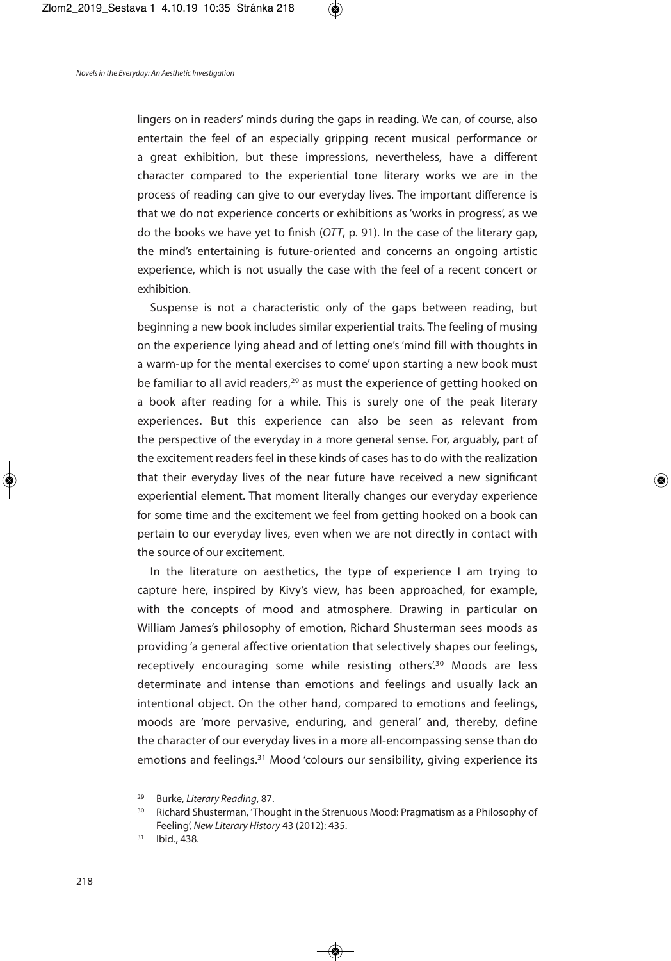lingers on in readers' minds during the gaps in reading. We can, of course, also entertain the feel of an especially gripping recent musical performance or a great exhibition, but these impressions, nevertheless, have a different character compared to the experiential tone literary works we are in the process of reading can give to our everyday lives. The important difference is that we do not experience concerts or exhibitions as 'works in progress', as we do the books we have yet to finish (OTT, p. 91). In the case of the literary gap, the mind's entertaining is future-oriented and concerns an ongoing artistic experience, which is not usually the case with the feel of a recent concert or exhibition.

Suspense is not a characteristic only of the gaps between reading, but beginning a new book includes similar experiential traits. The feeling of musing on the experience lying ahead and of letting one's'mind fill with thoughts in a warm-up for the mental exercises to come' upon starting a new book must be familiar to all avid readers,<sup>29</sup> as must the experience of getting hooked on a book after reading for a while. This is surely one of the peak literary experiences. But this experience can also be seen as relevant from the perspective of the everyday in a more general sense. For, arguably, part of the excitement readers feel in these kinds of cases has to do with the realization that their everyday lives of the near future have received a new significant experiential element. That moment literally changes our everyday experience for some time and the excitement we feel from getting hooked on a book can pertain to our everyday lives, even when we are not directly in contact with the source of our excitement.

In the literature on aesthetics, the type of experience I am trying to capture here, inspired by Kivy's view, has been approached, for example, with the concepts of mood and atmosphere. Drawing in particular on William James's philosophy of emotion, Richard Shusterman sees moods as providing 'a general affective orientation that selectively shapes our feelings, receptively encouraging some while resisting others<sup>'30</sup> Moods are less determinate and intense than emotions and feelings and usually lack an intentional object. On the other hand, compared to emotions and feelings, moods are 'more pervasive, enduring, and general' and, thereby, define the character of our everyday lives in a more all-encompassing sense than do emotions and feelings.<sup>31</sup> Mood 'colours our sensibility, giving experience its

 $29$  Burke, Literary Reading, 87.

<sup>&</sup>lt;sup>30</sup> Richard Shusterman, 'Thought in the Strenuous Mood: Pragmatism as a Philosophy of Feeling', New Literary History 43 (2012): 435.

<sup>31</sup> Ibid., 438.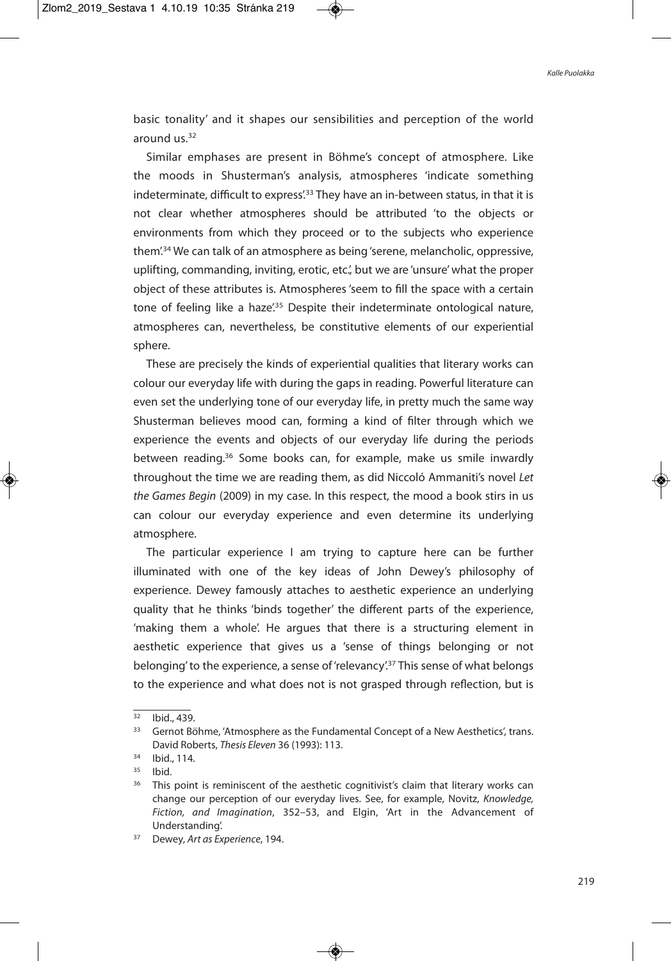basic tonality' and it shapes our sensibilities and perception of the world around us. 32

Similar emphases are present in Böhme's concept of atmosphere. Like the moods in Shusterman's analysis, atmospheres 'indicate something indeterminate, difficult to express<sup>'33</sup> They have an in-between status, in that it is not clear whether atmospheres should be attributed 'to the objects or environments from which they proceed or to the subjects who experience them'. <sup>34</sup> We can talk of an atmosphere as being'serene, melancholic, oppressive, uplifting, commanding, inviting, erotic, etc.', but we are 'unsure' what the proper object of these attributes is. Atmospheres 'seem to fill the space with a certain tone of feeling like a haze<sup>'35</sup> Despite their indeterminate ontological nature, atmospheres can, nevertheless, be constitutive elements of our experiential sphere.

These are precisely the kinds of experiential qualities that literary works can colour our everyday life with during the gaps in reading. Powerful literature can even set the underlying tone of our everyday life, in pretty much the same way Shusterman believes mood can, forming a kind of filter through which we experience the events and objects of our everyday life during the periods between reading.<sup>36</sup> Some books can, for example, make us smile inwardly throughout the time we are reading them, as did Niccoló Ammaniti's novel Let the Games Begin (2009) in my case. In this respect, the mood a book stirs in us can colour our everyday experience and even determine its underlying atmosphere.

The particular experience I am trying to capture here can be further illuminated with one of the key ideas of John Dewey's philosophy of experience. Dewey famously attaches to aesthetic experience an underlying quality that he thinks 'binds together' the different parts of the experience, 'making them a whole'. He argues that there is a structuring element in aesthetic experience that gives us a 'sense of things belonging or not belonging' to the experience, a sense of 'relevancy'.<sup>37</sup> This sense of what belongs to the experience and what does not is not grasped through reflection, but is

 $\frac{32}{1}$  Ibid., 439.

<sup>&</sup>lt;sup>33</sup> Gernot Böhme, 'Atmosphere as the Fundamental Concept of a New Aesthetics', trans. David Roberts, Thesis Eleven 36 (1993): 113.

<sup>34</sup> Ibid., 114.

 $35$  Ibid.

<sup>&</sup>lt;sup>36</sup> This point is reminiscent of the aesthetic cognitivist's claim that literary works can change our perception of our everyday lives. See, for example, Novitz, Knowledge, Fiction, and Imagination, 352–53, and Elgin, 'Art in the Advancement of Understanding'.

<sup>&</sup>lt;sup>37</sup> Dewey, Art as Experience, 194.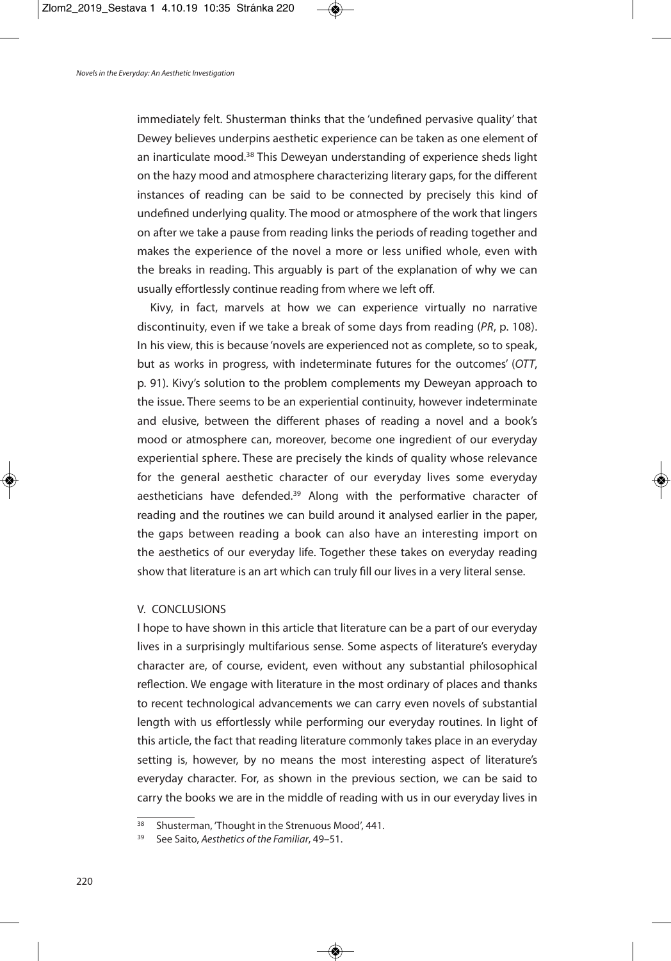immediately felt. Shusterman thinks that the 'undefined pervasive quality' that Dewey believes underpins aesthetic experience can be taken as one element of an inarticulate mood.<sup>38</sup> This Deweyan understanding of experience sheds light on the hazy mood and atmosphere characterizing literary gaps, for the different instances of reading can be said to be connected by precisely this kind of undefined underlying quality. The mood or atmosphere of the work that lingers on after we take a pause from reading links the periods of reading together and makes the experience of the novel a more or less unified whole, even with the breaks in reading. This arguably is part of the explanation of why we can usually effortlessly continue reading from where we left off.

Kivy, in fact, marvels at how we can experience virtually no narrative discontinuity, even if we take a break of some days from reading (PR, p. 108). In his view, this is because 'novels are experienced not as complete, so to speak, but as works in progress, with indeterminate futures for the outcomes' (OTT, p. 91). Kivy's solution to the problem complements my Deweyan approach to the issue. There seems to be an experiential continuity, however indeterminate and elusive, between the different phases of reading a novel and a book's mood or atmosphere can, moreover, become one ingredient of our everyday experiential sphere. These are precisely the kinds of quality whose relevance for the general aesthetic character of our everyday lives some everyday aestheticians have defended.<sup>39</sup> Along with the performative character of reading and the routines we can build around it analysed earlier in the paper, the gaps between reading a book can also have an interesting import on the aesthetics of our everyday life. Together these takes on everyday reading show that literature is an art which can truly fill our lives in a very literal sense.

# V. CONCLUSIONS

I hope to have shown in this article that literature can be a part of our everyday lives in a surprisingly multifarious sense. Some aspects of literature's everyday character are, of course, evident, even without any substantial philosophical reflection. We engage with literature in the most ordinary of places and thanks to recent technological advancements we can carry even novels of substantial length with us effortlessly while performing our everyday routines. In light of this article, the fact that reading literature commonly takes place in an everyday setting is, however, by no means the most interesting aspect of literature's everyday character. For, as shown in the previous section, we can be said to carry the books we are in the middle of reading with us in our everyday lives in

 $\frac{38}{38}$  Shusterman, 'Thought in the Strenuous Mood', 441.

See Saito, Aesthetics of the Familiar, 49–51.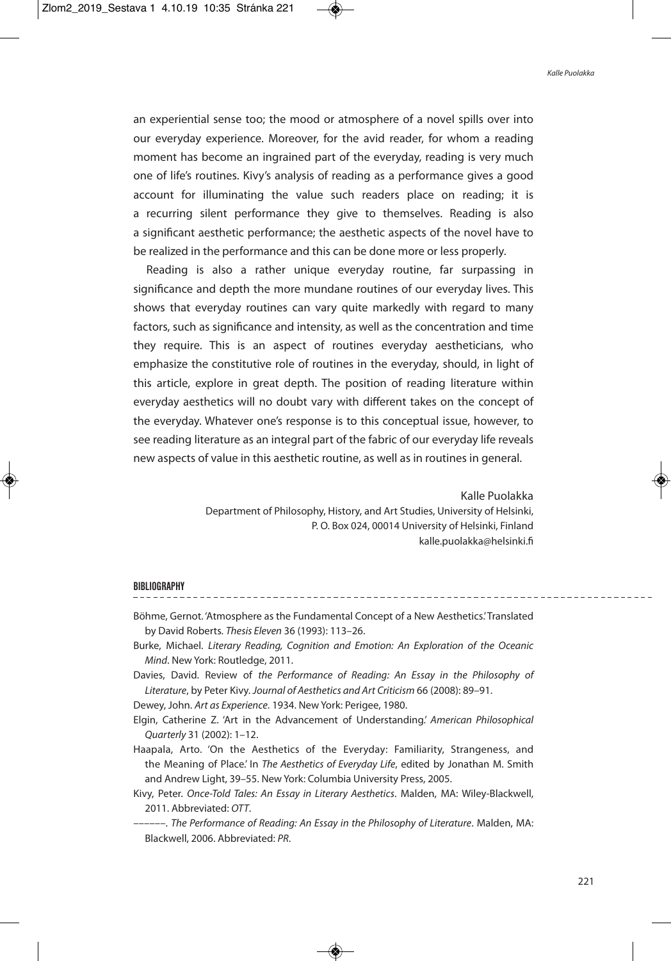an experiential sense too; the mood or atmosphere of a novel spills over into our everyday experience. Moreover, for the avid reader, for whom a reading moment has become an ingrained part of the everyday, reading is very much one of life's routines. Kivy's analysis of reading as a performance gives a good account for illuminating the value such readers place on reading; it is a recurring silent performance they give to themselves. Reading is also a significant aesthetic performance; the aesthetic aspects of the novel have to be realized in the performance and this can be done more or less properly.

Reading is also a rather unique everyday routine, far surpassing in significance and depth the more mundane routines of our everyday lives. This shows that everyday routines can vary quite markedly with regard to many factors, such as significance and intensity, as well as the concentration and time they require. This is an aspect of routines everyday aestheticians, who emphasize the constitutive role of routines in the everyday, should, in light of this article, explore in great depth. The position of reading literature within everyday aesthetics will no doubt vary with different takes on the concept of the everyday. Whatever one's response is to this conceptual issue, however, to see reading literature as an integral part of the fabric of our everyday life reveals new aspects of value in this aesthetic routine, as well as in routines in general.

> Kalle Puolakka Department of Philosophy, History, and Art Studies, University of Helsinki, P. O. Box 024, 00014 University of Helsinki, Finland kalle.puolakka@helsinki.fi

#### **BIBLIOGRAPHY**

- Böhme, Gernot. 'Atmosphere as the Fundamental Concept of a New Aesthetics.'Translated by David Roberts. Thesis Eleven 36 (1993): 113–26.
- Burke, Michael. Literary Reading, Cognition and Emotion: An Exploration of the Oceanic Mind. New York: Routledge, 2011.
- Davies, David. Review of the Performance of Reading: An Essay in the Philosophy of Literature, by Peter Kivy. Journal of Aesthetics and Art Criticism 66 (2008): 89–91.

Dewey, John. Art as Experience. 1934. New York: Perigee, 1980.

Elgin, Catherine Z. 'Art in the Advancement of Understanding.' American Philosophical Quarterly 31 (2002): 1–12.

Haapala, Arto. 'On the Aesthetics of the Everyday: Familiarity, Strangeness, and the Meaning of Place.' In The Aesthetics of Everyday Life, edited by Jonathan M. Smith and Andrew Light, 39–55. New York: Columbia University Press, 2005.

- Kivy, Peter. Once-Told Tales: An Essay in Literary Aesthetics. Malden, MA: Wiley-Blackwell, 2011. Abbreviated: OTT.
	- ––––––. The Performance of Reading: An Essay in the Philosophy of Literature. Malden, MA: Blackwell, 2006. Abbreviated: PR.